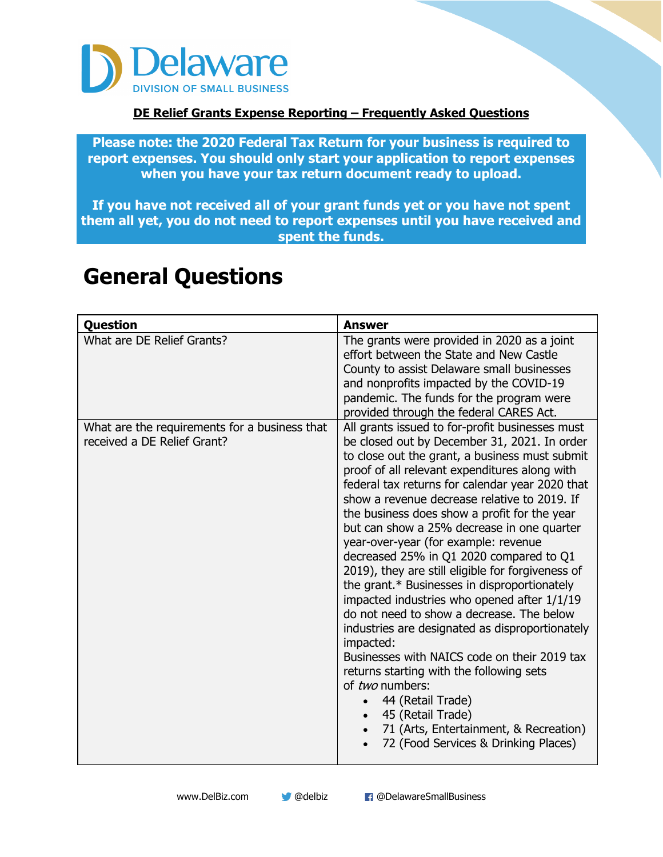

#### **DE Relief Grants Expense Reporting – Frequently Asked Questions**

**Please note: the 2020 Federal Tax Return for your business is required to report expenses. You should only start your application to report expenses when you have your tax return document ready to upload.** 

**If you have not received all of your grant funds yet or you have not spent them all yet, you do not need to report expenses until you have received and spent the funds.** 

| <b>Question</b>                                                                                            | <b>Answer</b>                                                                                                                                                                                                                                                                                                                                                                                                                                                                                                                                                                                                                                                                                                                                                                                                                                                                                                                                                                                                                                                                                                                                                                                                                                                                |
|------------------------------------------------------------------------------------------------------------|------------------------------------------------------------------------------------------------------------------------------------------------------------------------------------------------------------------------------------------------------------------------------------------------------------------------------------------------------------------------------------------------------------------------------------------------------------------------------------------------------------------------------------------------------------------------------------------------------------------------------------------------------------------------------------------------------------------------------------------------------------------------------------------------------------------------------------------------------------------------------------------------------------------------------------------------------------------------------------------------------------------------------------------------------------------------------------------------------------------------------------------------------------------------------------------------------------------------------------------------------------------------------|
| What are DE Relief Grants?<br>What are the requirements for a business that<br>received a DE Relief Grant? | The grants were provided in 2020 as a joint<br>effort between the State and New Castle<br>County to assist Delaware small businesses<br>and nonprofits impacted by the COVID-19<br>pandemic. The funds for the program were<br>provided through the federal CARES Act.<br>All grants issued to for-profit businesses must<br>be closed out by December 31, 2021. In order<br>to close out the grant, a business must submit<br>proof of all relevant expenditures along with<br>federal tax returns for calendar year 2020 that<br>show a revenue decrease relative to 2019. If<br>the business does show a profit for the year<br>but can show a 25% decrease in one quarter<br>year-over-year (for example: revenue<br>decreased 25% in Q1 2020 compared to Q1<br>2019), they are still eligible for forgiveness of<br>the grant.* Businesses in disproportionately<br>impacted industries who opened after 1/1/19<br>do not need to show a decrease. The below<br>industries are designated as disproportionately<br>impacted:<br>Businesses with NAICS code on their 2019 tax<br>returns starting with the following sets<br>of two numbers:<br>44 (Retail Trade)<br>45 (Retail Trade)<br>71 (Arts, Entertainment, & Recreation)<br>72 (Food Services & Drinking Places) |
|                                                                                                            |                                                                                                                                                                                                                                                                                                                                                                                                                                                                                                                                                                                                                                                                                                                                                                                                                                                                                                                                                                                                                                                                                                                                                                                                                                                                              |

### **General Questions**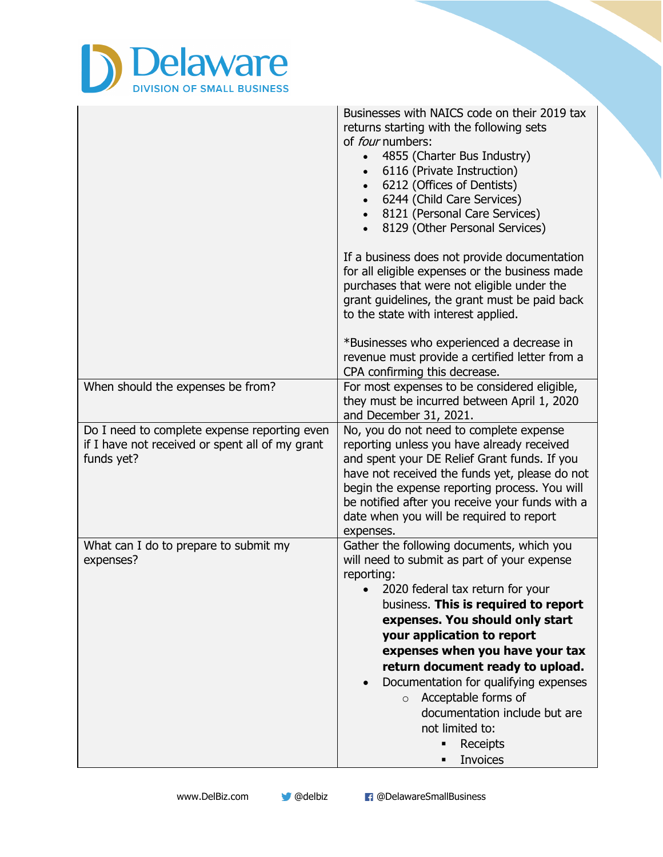

|                                                                                                               | Businesses with NAICS code on their 2019 tax<br>returns starting with the following sets<br>of <i>four</i> numbers:<br>4855 (Charter Bus Industry)<br>6116 (Private Instruction)<br>6212 (Offices of Dentists)<br>6244 (Child Care Services)<br>8121 (Personal Care Services)<br>8129 (Other Personal Services)                                                                                                                                                                            |
|---------------------------------------------------------------------------------------------------------------|--------------------------------------------------------------------------------------------------------------------------------------------------------------------------------------------------------------------------------------------------------------------------------------------------------------------------------------------------------------------------------------------------------------------------------------------------------------------------------------------|
|                                                                                                               | If a business does not provide documentation<br>for all eligible expenses or the business made<br>purchases that were not eligible under the<br>grant guidelines, the grant must be paid back<br>to the state with interest applied.                                                                                                                                                                                                                                                       |
|                                                                                                               | *Businesses who experienced a decrease in<br>revenue must provide a certified letter from a<br>CPA confirming this decrease.                                                                                                                                                                                                                                                                                                                                                               |
| When should the expenses be from?                                                                             | For most expenses to be considered eligible,<br>they must be incurred between April 1, 2020<br>and December 31, 2021.                                                                                                                                                                                                                                                                                                                                                                      |
| Do I need to complete expense reporting even<br>if I have not received or spent all of my grant<br>funds yet? | No, you do not need to complete expense<br>reporting unless you have already received<br>and spent your DE Relief Grant funds. If you<br>have not received the funds yet, please do not<br>begin the expense reporting process. You will<br>be notified after you receive your funds with a<br>date when you will be required to report<br>expenses.                                                                                                                                       |
| What can I do to prepare to submit my<br>expenses?                                                            | Gather the following documents, which you<br>will need to submit as part of your expense<br>reporting:<br>• 2020 federal tax return for your<br>business. This is required to report<br>expenses. You should only start<br>your application to report<br>expenses when you have your tax<br>return document ready to upload.<br>Documentation for qualifying expenses<br>Acceptable forms of<br>$\circ$<br>documentation include but are<br>not limited to:<br>Receipts<br><b>Invoices</b> |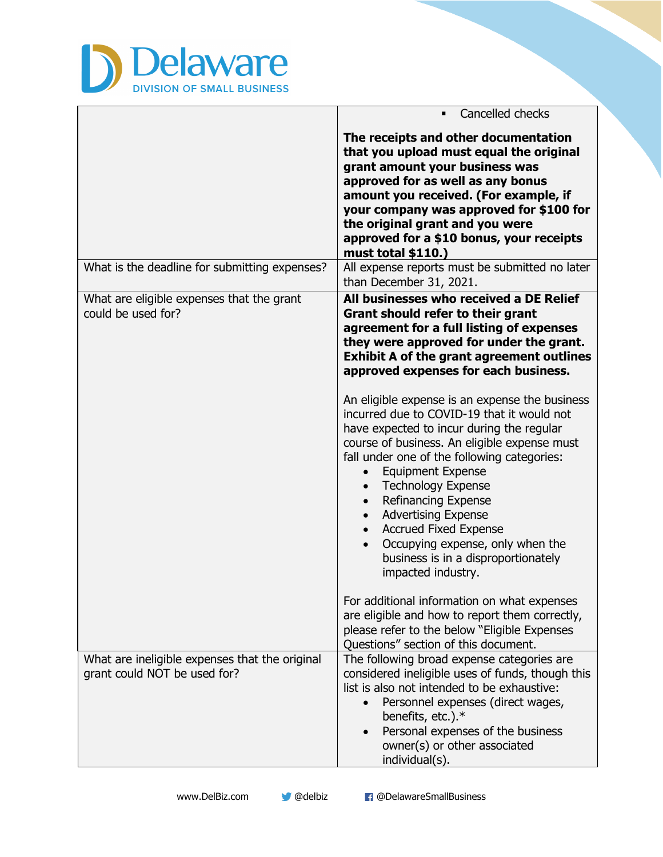

|                                                                                | Cancelled checks                                                                                                                                                                                                                                                                                                                                                                                                                                                                                                                                                      |
|--------------------------------------------------------------------------------|-----------------------------------------------------------------------------------------------------------------------------------------------------------------------------------------------------------------------------------------------------------------------------------------------------------------------------------------------------------------------------------------------------------------------------------------------------------------------------------------------------------------------------------------------------------------------|
|                                                                                | The receipts and other documentation<br>that you upload must equal the original<br>grant amount your business was<br>approved for as well as any bonus<br>amount you received. (For example, if<br>your company was approved for \$100 for<br>the original grant and you were<br>approved for a \$10 bonus, your receipts<br>must total \$110.)                                                                                                                                                                                                                       |
| What is the deadline for submitting expenses?                                  | All expense reports must be submitted no later<br>than December 31, 2021.                                                                                                                                                                                                                                                                                                                                                                                                                                                                                             |
| What are eligible expenses that the grant<br>could be used for?                | All businesses who received a DE Relief<br><b>Grant should refer to their grant</b><br>agreement for a full listing of expenses<br>they were approved for under the grant.<br><b>Exhibit A of the grant agreement outlines</b><br>approved expenses for each business.                                                                                                                                                                                                                                                                                                |
|                                                                                | An eligible expense is an expense the business<br>incurred due to COVID-19 that it would not<br>have expected to incur during the regular<br>course of business. An eligible expense must<br>fall under one of the following categories:<br><b>Equipment Expense</b><br>$\bullet$<br><b>Technology Expense</b><br>$\bullet$<br>Refinancing Expense<br>$\bullet$<br><b>Advertising Expense</b><br>$\bullet$<br><b>Accrued Fixed Expense</b><br>$\bullet$<br>Occupying expense, only when the<br>$\bullet$<br>business is in a disproportionately<br>impacted industry. |
|                                                                                | For additional information on what expenses<br>are eligible and how to report them correctly,<br>please refer to the below "Eligible Expenses<br>Questions" section of this document.                                                                                                                                                                                                                                                                                                                                                                                 |
| What are ineligible expenses that the original<br>grant could NOT be used for? | The following broad expense categories are<br>considered ineligible uses of funds, though this<br>list is also not intended to be exhaustive:<br>Personnel expenses (direct wages,<br>benefits, etc.).*<br>Personal expenses of the business<br>owner(s) or other associated<br>individual(s).                                                                                                                                                                                                                                                                        |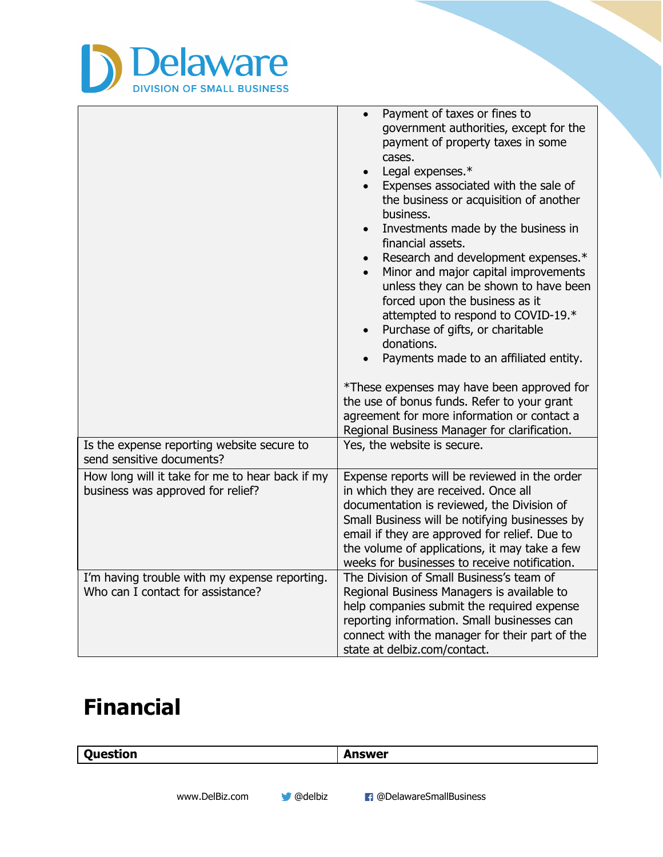

|                                                                                      | Payment of taxes or fines to<br>government authorities, except for the<br>payment of property taxes in some<br>cases.<br>Legal expenses.*<br>$\bullet$<br>Expenses associated with the sale of<br>the business or acquisition of another<br>business.<br>Investments made by the business in<br>financial assets.<br>Research and development expenses.*<br>$\bullet$<br>Minor and major capital improvements<br>unless they can be shown to have been<br>forced upon the business as it<br>attempted to respond to COVID-19.*<br>Purchase of gifts, or charitable<br>$\bullet$<br>donations.<br>Payments made to an affiliated entity.<br>*These expenses may have been approved for<br>the use of bonus funds. Refer to your grant<br>agreement for more information or contact a<br>Regional Business Manager for clarification. |
|--------------------------------------------------------------------------------------|-------------------------------------------------------------------------------------------------------------------------------------------------------------------------------------------------------------------------------------------------------------------------------------------------------------------------------------------------------------------------------------------------------------------------------------------------------------------------------------------------------------------------------------------------------------------------------------------------------------------------------------------------------------------------------------------------------------------------------------------------------------------------------------------------------------------------------------|
| Is the expense reporting website secure to<br>send sensitive documents?              | Yes, the website is secure.                                                                                                                                                                                                                                                                                                                                                                                                                                                                                                                                                                                                                                                                                                                                                                                                         |
| How long will it take for me to hear back if my<br>business was approved for relief? | Expense reports will be reviewed in the order<br>in which they are received. Once all<br>documentation is reviewed, the Division of<br>Small Business will be notifying businesses by<br>email if they are approved for relief. Due to<br>the volume of applications, it may take a few<br>weeks for businesses to receive notification.                                                                                                                                                                                                                                                                                                                                                                                                                                                                                            |
| I'm having trouble with my expense reporting.<br>Who can I contact for assistance?   | The Division of Small Business's team of<br>Regional Business Managers is available to<br>help companies submit the required expense<br>reporting information. Small businesses can<br>connect with the manager for their part of the<br>state at delbiz.com/contact.                                                                                                                                                                                                                                                                                                                                                                                                                                                                                                                                                               |

### **Financial**

 $\begin{array}{c} \hline \end{array}$ 

| Question | Answer |
|----------|--------|
|          |        |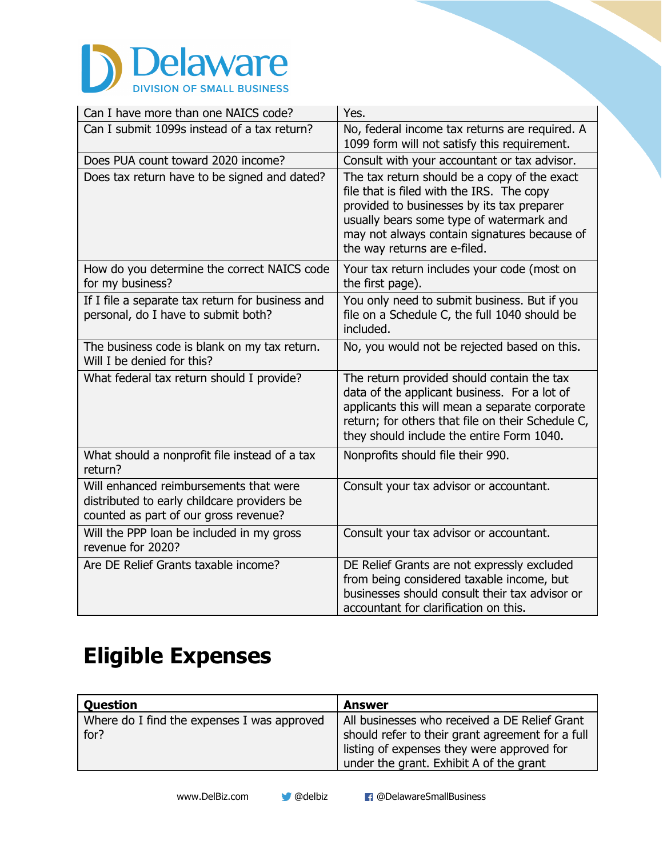

| Can I have more than one NAICS code?                                                                                           | Yes.                                                                                                                                                                                                                                                                |
|--------------------------------------------------------------------------------------------------------------------------------|---------------------------------------------------------------------------------------------------------------------------------------------------------------------------------------------------------------------------------------------------------------------|
| Can I submit 1099s instead of a tax return?                                                                                    | No, federal income tax returns are required. A<br>1099 form will not satisfy this requirement.                                                                                                                                                                      |
| Does PUA count toward 2020 income?                                                                                             | Consult with your accountant or tax advisor.                                                                                                                                                                                                                        |
| Does tax return have to be signed and dated?                                                                                   | The tax return should be a copy of the exact<br>file that is filed with the IRS. The copy<br>provided to businesses by its tax preparer<br>usually bears some type of watermark and<br>may not always contain signatures because of<br>the way returns are e-filed. |
| How do you determine the correct NAICS code<br>for my business?                                                                | Your tax return includes your code (most on<br>the first page).                                                                                                                                                                                                     |
| If I file a separate tax return for business and<br>personal, do I have to submit both?                                        | You only need to submit business. But if you<br>file on a Schedule C, the full 1040 should be<br>included.                                                                                                                                                          |
| The business code is blank on my tax return.<br>Will I be denied for this?                                                     | No, you would not be rejected based on this.                                                                                                                                                                                                                        |
| What federal tax return should I provide?                                                                                      | The return provided should contain the tax<br>data of the applicant business. For a lot of<br>applicants this will mean a separate corporate<br>return; for others that file on their Schedule C,<br>they should include the entire Form 1040.                      |
| What should a nonprofit file instead of a tax<br>return?                                                                       | Nonprofits should file their 990.                                                                                                                                                                                                                                   |
| Will enhanced reimbursements that were<br>distributed to early childcare providers be<br>counted as part of our gross revenue? | Consult your tax advisor or accountant.                                                                                                                                                                                                                             |
| Will the PPP loan be included in my gross<br>revenue for 2020?                                                                 | Consult your tax advisor or accountant.                                                                                                                                                                                                                             |
| Are DE Relief Grants taxable income?                                                                                           | DE Relief Grants are not expressly excluded<br>from being considered taxable income, but<br>businesses should consult their tax advisor or<br>accountant for clarification on this.                                                                                 |

# **Eligible Expenses**

| <b>Question</b>                             | Answer                                           |
|---------------------------------------------|--------------------------------------------------|
| Where do I find the expenses I was approved | All businesses who received a DE Relief Grant    |
| for?                                        | should refer to their grant agreement for a full |
|                                             | listing of expenses they were approved for       |
|                                             | under the grant. Exhibit A of the grant          |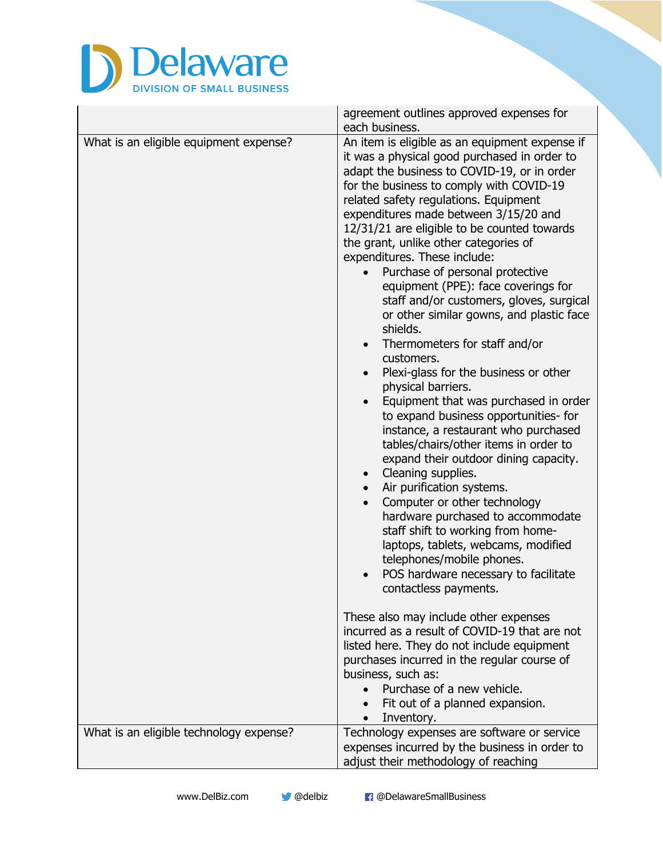

|                                         | agreement outlines approved expenses for<br>each business.                                                                                                                                                                                                                                                                                                                                                                                                                                                                                                                                                                                                                                                                                                                                                                                                                                                                                                                                                                                                                                                                                                                                                                                                                                                                                                                                                                                                                                                                                                                 |
|-----------------------------------------|----------------------------------------------------------------------------------------------------------------------------------------------------------------------------------------------------------------------------------------------------------------------------------------------------------------------------------------------------------------------------------------------------------------------------------------------------------------------------------------------------------------------------------------------------------------------------------------------------------------------------------------------------------------------------------------------------------------------------------------------------------------------------------------------------------------------------------------------------------------------------------------------------------------------------------------------------------------------------------------------------------------------------------------------------------------------------------------------------------------------------------------------------------------------------------------------------------------------------------------------------------------------------------------------------------------------------------------------------------------------------------------------------------------------------------------------------------------------------------------------------------------------------------------------------------------------------|
| What is an eligible equipment expense?  | An item is eligible as an equipment expense if<br>it was a physical good purchased in order to<br>adapt the business to COVID-19, or in order<br>for the business to comply with COVID-19<br>related safety regulations. Equipment<br>expenditures made between 3/15/20 and<br>12/31/21 are eligible to be counted towards<br>the grant, unlike other categories of<br>expenditures. These include:<br>Purchase of personal protective<br>$\bullet$<br>equipment (PPE): face coverings for<br>staff and/or customers, gloves, surgical<br>or other similar gowns, and plastic face<br>shields.<br>Thermometers for staff and/or<br>customers.<br>Plexi-glass for the business or other<br>$\bullet$<br>physical barriers.<br>Equipment that was purchased in order<br>$\bullet$<br>to expand business opportunities- for<br>instance, a restaurant who purchased<br>tables/chairs/other items in order to<br>expand their outdoor dining capacity.<br>Cleaning supplies.<br>$\bullet$<br>Air purification systems.<br>Computer or other technology<br>hardware purchased to accommodate<br>staff shift to working from home-<br>laptops, tablets, webcams, modified<br>telephones/mobile phones.<br>POS hardware necessary to facilitate<br>contactless payments.<br>These also may include other expenses<br>incurred as a result of COVID-19 that are not<br>listed here. They do not include equipment<br>purchases incurred in the regular course of<br>business, such as:<br>Purchase of a new vehicle.<br>Fit out of a planned expansion.<br>Inventory.<br>$\bullet$ |
| What is an eligible technology expense? | Technology expenses are software or service<br>expenses incurred by the business in order to<br>adjust their methodology of reaching                                                                                                                                                                                                                                                                                                                                                                                                                                                                                                                                                                                                                                                                                                                                                                                                                                                                                                                                                                                                                                                                                                                                                                                                                                                                                                                                                                                                                                       |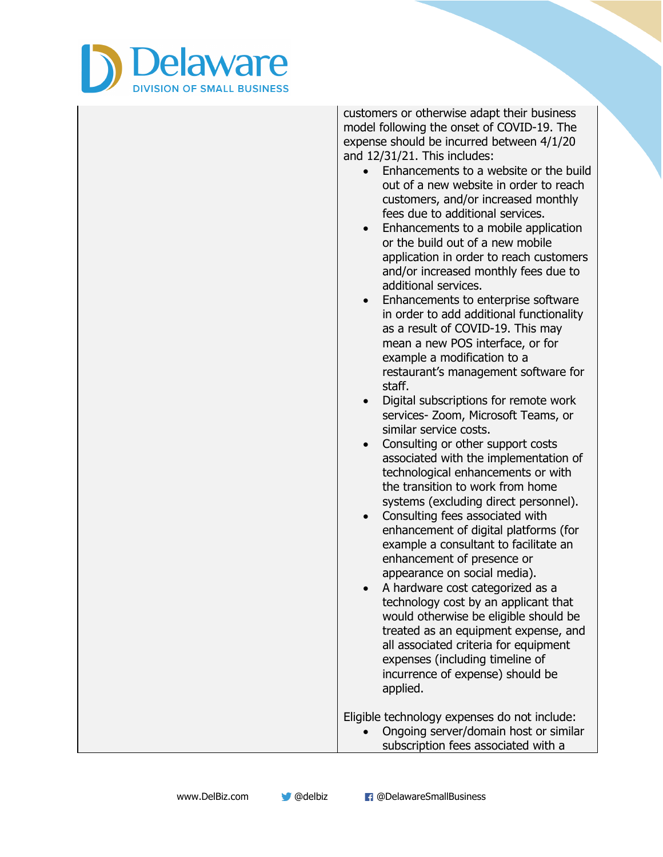

customers or otherwise adapt their business model following the onset of COVID-19. The expense should be incurred between 4/1/20 and 12/31/21. This includes:

- Enhancements to a website or the build out of a new website in order to reach customers, and/or increased monthly fees due to additional services.
- Enhancements to a mobile application or the build out of a new mobile application in order to reach customers and/or increased monthly fees due to additional services.
- Enhancements to enterprise software in order to add additional functionality as a result of COVID-19. This may mean a new POS interface, or for example a modification to a restaurant's management software for staff.
- Digital subscriptions for remote work services- Zoom, Microsoft Teams, or similar service costs.
- Consulting or other support costs associated with the implementation of technological enhancements or with the transition to work from home systems (excluding direct personnel).
- Consulting fees associated with enhancement of digital platforms (for example a consultant to facilitate an enhancement of presence or appearance on social media).
- A hardware cost categorized as a technology cost by an applicant that would otherwise be eligible should be treated as an equipment expense, and all associated criteria for equipment expenses (including timeline of incurrence of expense) should be applied.

Eligible technology expenses do not include:

• Ongoing server/domain host or similar subscription fees associated with a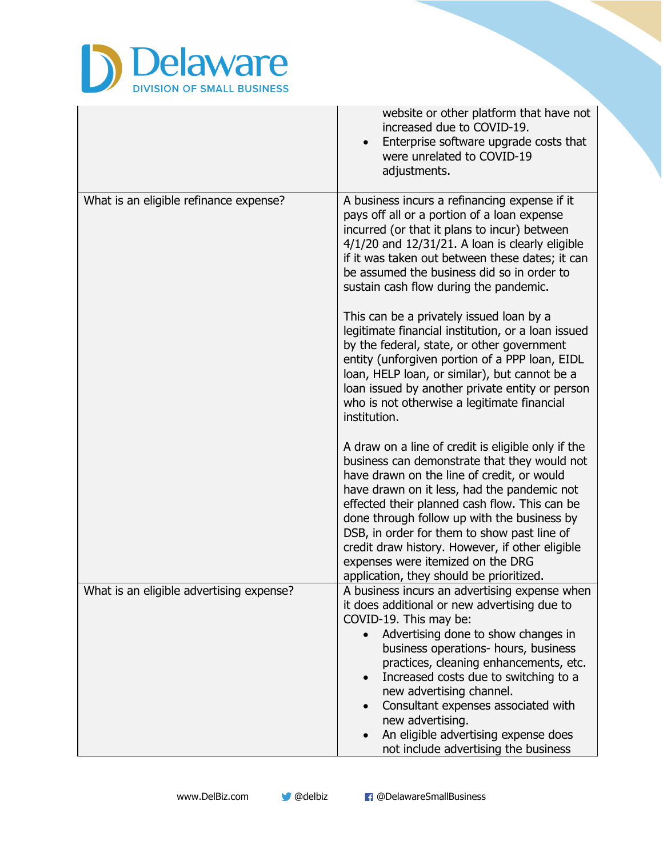

|                                          | website or other platform that have not<br>increased due to COVID-19.<br>Enterprise software upgrade costs that<br>were unrelated to COVID-19<br>adjustments.                                                                                                                                                                                                                                                                                                                              |
|------------------------------------------|--------------------------------------------------------------------------------------------------------------------------------------------------------------------------------------------------------------------------------------------------------------------------------------------------------------------------------------------------------------------------------------------------------------------------------------------------------------------------------------------|
| What is an eligible refinance expense?   | A business incurs a refinancing expense if it<br>pays off all or a portion of a loan expense<br>incurred (or that it plans to incur) between<br>$4/1/20$ and $12/31/21$ . A loan is clearly eligible<br>if it was taken out between these dates; it can<br>be assumed the business did so in order to<br>sustain cash flow during the pandemic.                                                                                                                                            |
|                                          | This can be a privately issued loan by a<br>legitimate financial institution, or a loan issued<br>by the federal, state, or other government<br>entity (unforgiven portion of a PPP loan, EIDL<br>loan, HELP loan, or similar), but cannot be a<br>loan issued by another private entity or person<br>who is not otherwise a legitimate financial<br>institution.                                                                                                                          |
|                                          | A draw on a line of credit is eligible only if the<br>business can demonstrate that they would not<br>have drawn on the line of credit, or would<br>have drawn on it less, had the pandemic not<br>effected their planned cash flow. This can be<br>done through follow up with the business by<br>DSB, in order for them to show past line of<br>credit draw history. However, if other eligible<br>expenses were itemized on the DRG<br>application, they should be prioritized.         |
| What is an eligible advertising expense? | A business incurs an advertising expense when<br>it does additional or new advertising due to<br>COVID-19. This may be:<br>Advertising done to show changes in<br>$\bullet$<br>business operations- hours, business<br>practices, cleaning enhancements, etc.<br>Increased costs due to switching to a<br>$\bullet$<br>new advertising channel.<br>Consultant expenses associated with<br>new advertising.<br>An eligible advertising expense does<br>not include advertising the business |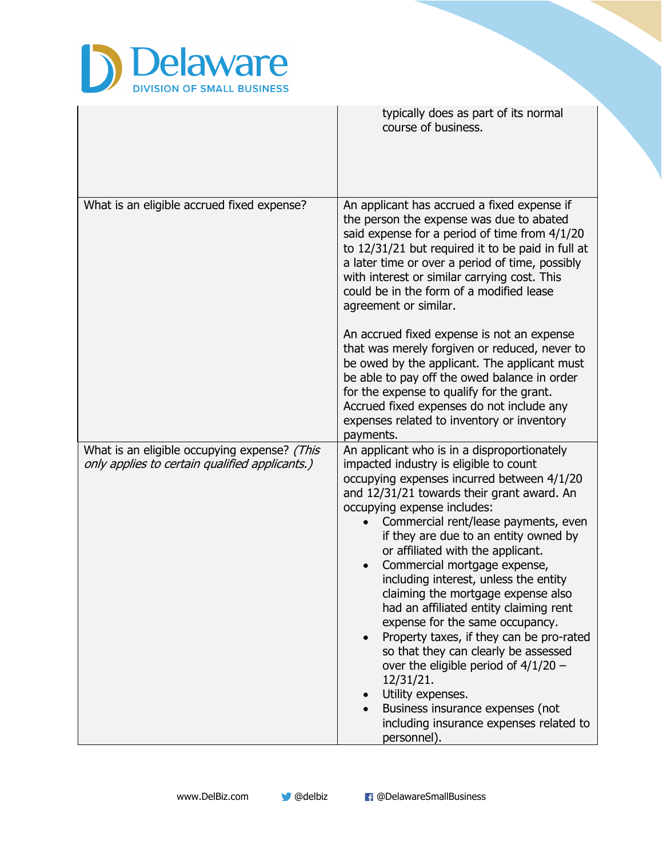

|                                                                                                | typically does as part of its normal<br>course of business.                                                                                                                                                                                                                                                                                                                                                                                                                                                                                                                                                                                                                                                                                                                                      |
|------------------------------------------------------------------------------------------------|--------------------------------------------------------------------------------------------------------------------------------------------------------------------------------------------------------------------------------------------------------------------------------------------------------------------------------------------------------------------------------------------------------------------------------------------------------------------------------------------------------------------------------------------------------------------------------------------------------------------------------------------------------------------------------------------------------------------------------------------------------------------------------------------------|
| What is an eligible accrued fixed expense?                                                     | An applicant has accrued a fixed expense if<br>the person the expense was due to abated<br>said expense for a period of time from 4/1/20<br>to 12/31/21 but required it to be paid in full at<br>a later time or over a period of time, possibly<br>with interest or similar carrying cost. This<br>could be in the form of a modified lease<br>agreement or similar.                                                                                                                                                                                                                                                                                                                                                                                                                            |
|                                                                                                | An accrued fixed expense is not an expense<br>that was merely forgiven or reduced, never to<br>be owed by the applicant. The applicant must<br>be able to pay off the owed balance in order<br>for the expense to qualify for the grant.<br>Accrued fixed expenses do not include any<br>expenses related to inventory or inventory<br>payments.                                                                                                                                                                                                                                                                                                                                                                                                                                                 |
| What is an eligible occupying expense? (This<br>only applies to certain qualified applicants.) | An applicant who is in a disproportionately<br>impacted industry is eligible to count<br>occupying expenses incurred between 4/1/20<br>and 12/31/21 towards their grant award. An<br>occupying expense includes:<br>Commercial rent/lease payments, even<br>if they are due to an entity owned by<br>or affiliated with the applicant.<br>Commercial mortgage expense,<br>including interest, unless the entity<br>claiming the mortgage expense also<br>had an affiliated entity claiming rent<br>expense for the same occupancy.<br>Property taxes, if they can be pro-rated<br>so that they can clearly be assessed<br>over the eligible period of $4/1/20$ –<br>12/31/21.<br>Utility expenses.<br>Business insurance expenses (not<br>including insurance expenses related to<br>personnel). |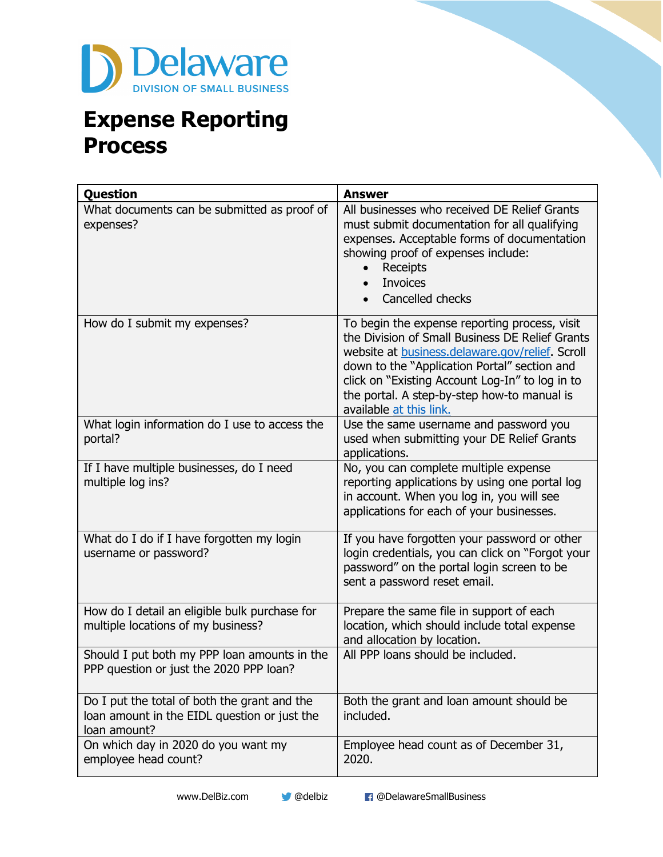

## **Expense Reporting Process**

| Question                                                                                                     | <b>Answer</b>                                                                                                                                                                                                                                                                                                                    |
|--------------------------------------------------------------------------------------------------------------|----------------------------------------------------------------------------------------------------------------------------------------------------------------------------------------------------------------------------------------------------------------------------------------------------------------------------------|
| What documents can be submitted as proof of<br>expenses?                                                     | All businesses who received DE Relief Grants<br>must submit documentation for all qualifying<br>expenses. Acceptable forms of documentation<br>showing proof of expenses include:<br>Receipts<br><b>Invoices</b><br>Cancelled checks                                                                                             |
| How do I submit my expenses?                                                                                 | To begin the expense reporting process, visit<br>the Division of Small Business DE Relief Grants<br>website at business.delaware.gov/relief. Scroll<br>down to the "Application Portal" section and<br>click on "Existing Account Log-In" to log in to<br>the portal. A step-by-step how-to manual is<br>available at this link. |
| What login information do I use to access the<br>portal?                                                     | Use the same username and password you<br>used when submitting your DE Relief Grants<br>applications.                                                                                                                                                                                                                            |
| If I have multiple businesses, do I need<br>multiple log ins?                                                | No, you can complete multiple expense<br>reporting applications by using one portal log<br>in account. When you log in, you will see<br>applications for each of your businesses.                                                                                                                                                |
| What do I do if I have forgotten my login<br>username or password?                                           | If you have forgotten your password or other<br>login credentials, you can click on "Forgot your<br>password" on the portal login screen to be<br>sent a password reset email.                                                                                                                                                   |
| How do I detail an eligible bulk purchase for<br>multiple locations of my business?                          | Prepare the same file in support of each<br>location, which should include total expense<br>and allocation by location.                                                                                                                                                                                                          |
| Should I put both my PPP loan amounts in the<br>PPP question or just the 2020 PPP loan?                      | All PPP loans should be included.                                                                                                                                                                                                                                                                                                |
| Do I put the total of both the grant and the<br>loan amount in the EIDL question or just the<br>loan amount? | Both the grant and loan amount should be<br>included.                                                                                                                                                                                                                                                                            |
| On which day in 2020 do you want my<br>employee head count?                                                  | Employee head count as of December 31,<br>2020.                                                                                                                                                                                                                                                                                  |